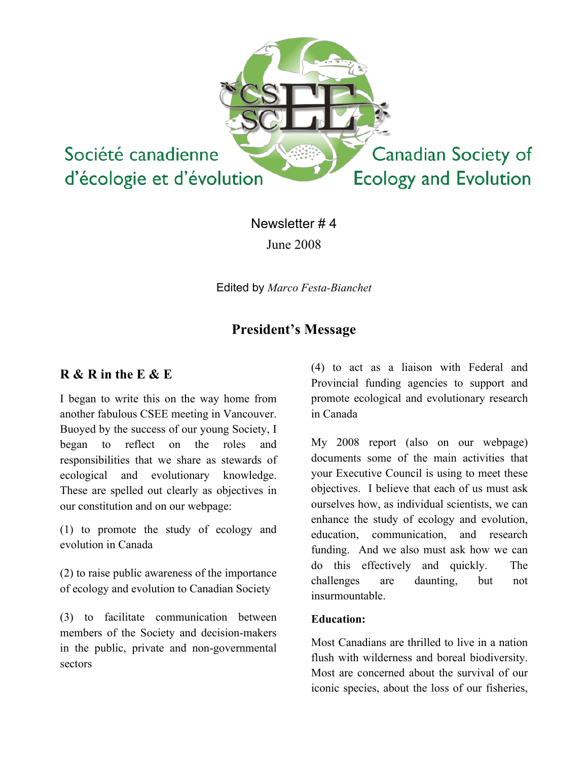

Newsletter # 4 June 2008

Edited by *Marco Festa-Bianchet*

# **President's Message**

## **R & R in the E & E**

I began to write this on the way home from another fabulous CSEE meeting in Vancouver. Buoyed by the success of our young Society, I began to reflect on the roles and responsibilities that we share as stewards of ecological and evolutionary knowledge. These are spelled out clearly as objectives in our constitution and on our webpage:

(1) to promote the study of ecology and evolution in Canada

(2) to raise public awareness of the importance of ecology and evolution to Canadian Society

(3) to facilitate communication between members of the Society and decision-makers in the public, private and non-governmental sectors

(4) to act as a liaison with Federal and Provincial funding agencies to support and promote ecological and evolutionary research in Canada

My 2008 report (also on our webpage) documents some of the main activities that your Executive Council is using to meet these objectives. I believe that each of us must ask ourselves how, as individual scientists, we can enhance the study of ecology and evolution, education, communication, and research funding. And we also must ask how we can do this effectively and quickly. The challenges are daunting, but not insurmountable.

### **Education:**

Most Canadians are thrilled to live in a nation flush with wilderness and boreal biodiversity. Most are concerned about the survival of our iconic species, about the loss of our fisheries,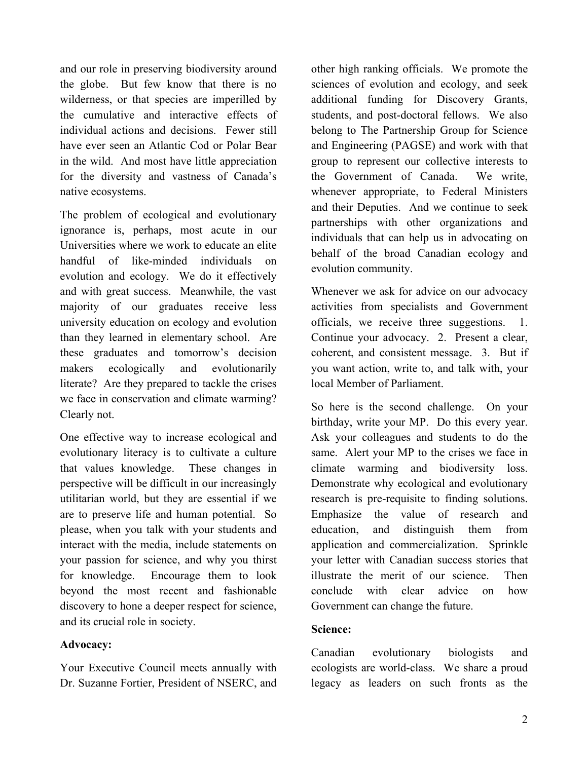and our role in preserving biodiversity around the globe. But few know that there is no wilderness, or that species are imperilled by the cumulative and interactive effects of individual actions and decisions. Fewer still have ever seen an Atlantic Cod or Polar Bear in the wild. And most have little appreciation for the diversity and vastness of Canada's native ecosystems.

The problem of ecological and evolutionary ignorance is, perhaps, most acute in our Universities where we work to educate an elite handful of like-minded individuals on evolution and ecology. We do it effectively and with great success. Meanwhile, the vast majority of our graduates receive less university education on ecology and evolution than they learned in elementary school. Are these graduates and tomorrow's decision makers ecologically and evolutionarily literate? Are they prepared to tackle the crises we face in conservation and climate warming? Clearly not.

One effective way to increase ecological and evolutionary literacy is to cultivate a culture that values knowledge. These changes in perspective will be difficult in our increasingly utilitarian world, but they are essential if we are to preserve life and human potential. So please, when you talk with your students and interact with the media, include statements on your passion for science, and why you thirst for knowledge. Encourage them to look beyond the most recent and fashionable discovery to hone a deeper respect for science, and its crucial role in society.

### **Advocacy:**

Your Executive Council meets annually with Dr. Suzanne Fortier, President of NSERC, and other high ranking officials. We promote the sciences of evolution and ecology, and seek additional funding for Discovery Grants, students, and post-doctoral fellows. We also belong to The Partnership Group for Science and Engineering (PAGSE) and work with that group to represent our collective interests to the Government of Canada. We write, whenever appropriate, to Federal Ministers and their Deputies. And we continue to seek partnerships with other organizations and individuals that can help us in advocating on behalf of the broad Canadian ecology and evolution community.

Whenever we ask for advice on our advocacy activities from specialists and Government officials, we receive three suggestions. 1. Continue your advocacy. 2. Present a clear, coherent, and consistent message. 3. But if you want action, write to, and talk with, your local Member of Parliament.

So here is the second challenge. On your birthday, write your MP. Do this every year. Ask your colleagues and students to do the same. Alert your MP to the crises we face in climate warming and biodiversity loss. Demonstrate why ecological and evolutionary research is pre-requisite to finding solutions. Emphasize the value of research and education, and distinguish them from application and commercialization. Sprinkle your letter with Canadian success stories that illustrate the merit of our science. Then conclude with clear advice on how Government can change the future.

### **Science:**

Canadian evolutionary biologists and ecologists are world-class. We share a proud legacy as leaders on such fronts as the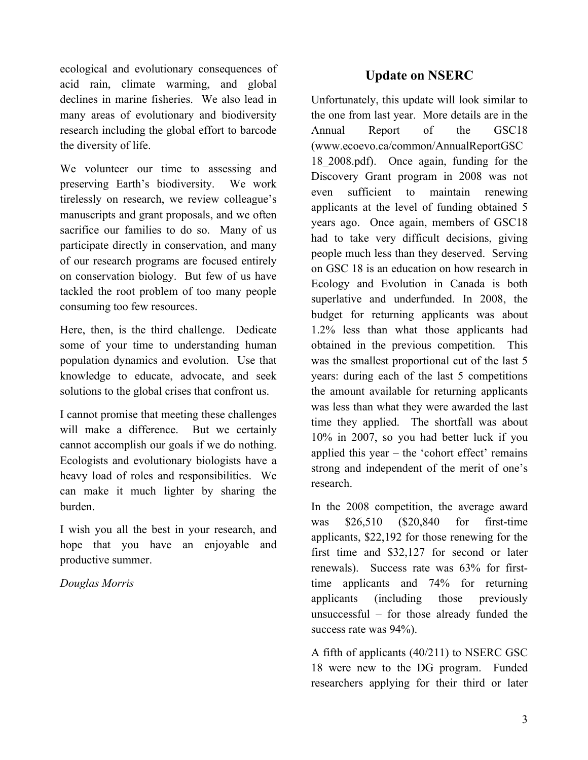ecological and evolutionary consequences of acid rain, climate warming, and global declines in marine fisheries. We also lead in many areas of evolutionary and biodiversity research including the global effort to barcode the diversity of life.

We volunteer our time to assessing and preserving Earth's biodiversity. We work tirelessly on research, we review colleague's manuscripts and grant proposals, and we often sacrifice our families to do so. Many of us participate directly in conservation, and many of our research programs are focused entirely on conservation biology. But few of us have tackled the root problem of too many people consuming too few resources.

Here, then, is the third challenge. Dedicate some of your time to understanding human population dynamics and evolution. Use that knowledge to educate, advocate, and seek solutions to the global crises that confront us.

I cannot promise that meeting these challenges will make a difference. But we certainly cannot accomplish our goals if we do nothing. Ecologists and evolutionary biologists have a heavy load of roles and responsibilities. We can make it much lighter by sharing the burden.

I wish you all the best in your research, and hope that you have an enjoyable and productive summer.

*Douglas Morris*

# **Update on NSERC**

Unfortunately, this update will look similar to the one from last year. More details are in the Annual Report of the GSC18 (www.ecoevo.ca/common/AnnualReportGSC 18\_2008.pdf). Once again, funding for the Discovery Grant program in 2008 was not even sufficient to maintain renewing applicants at the level of funding obtained 5 years ago. Once again, members of GSC18 had to take very difficult decisions, giving people much less than they deserved. Serving on GSC 18 is an education on how research in Ecology and Evolution in Canada is both superlative and underfunded. In 2008, the budget for returning applicants was about 1.2% less than what those applicants had obtained in the previous competition. This was the smallest proportional cut of the last 5 years: during each of the last 5 competitions the amount available for returning applicants was less than what they were awarded the last time they applied. The shortfall was about 10% in 2007, so you had better luck if you applied this year  $-$  the 'cohort effect' remains strong and independent of the merit of one's research.

In the 2008 competition, the average award was \$26,510 (\$20,840 for first-time applicants, \$22,192 for those renewing for the first time and \$32,127 for second or later renewals). Success rate was 63% for firsttime applicants and 74% for returning applicants (including those previously unsuccessful – for those already funded the success rate was 94%).

A fifth of applicants (40/211) to NSERC GSC 18 were new to the DG program. Funded researchers applying for their third or later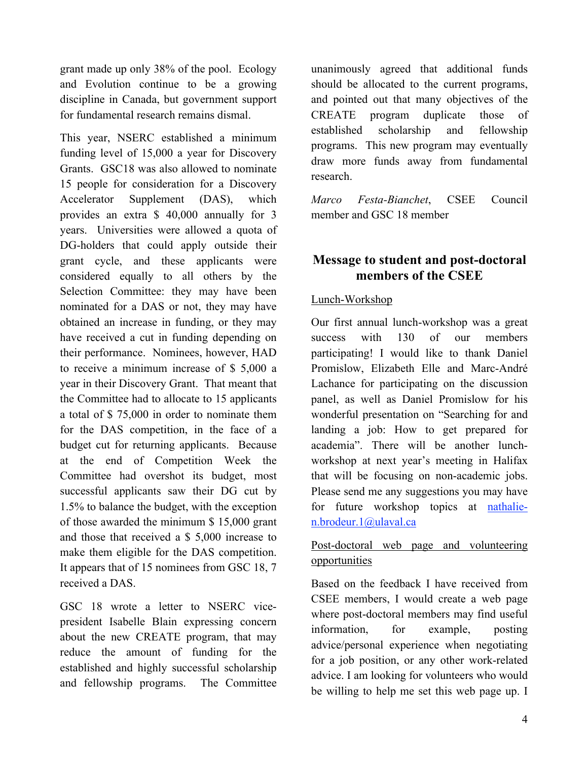grant made up only 38% of the pool. Ecology and Evolution continue to be a growing discipline in Canada, but government support for fundamental research remains dismal.

This year, NSERC established a minimum funding level of 15,000 a year for Discovery Grants. GSC18 was also allowed to nominate 15 people for consideration for a Discovery Accelerator Supplement (DAS), which provides an extra \$ 40,000 annually for 3 years. Universities were allowed a quota of DG-holders that could apply outside their grant cycle, and these applicants were considered equally to all others by the Selection Committee: they may have been nominated for a DAS or not, they may have obtained an increase in funding, or they may have received a cut in funding depending on their performance. Nominees, however, HAD to receive a minimum increase of \$ 5,000 a year in their Discovery Grant. That meant that the Committee had to allocate to 15 applicants a total of \$ 75,000 in order to nominate them for the DAS competition, in the face of a budget cut for returning applicants. Because at the end of Competition Week the Committee had overshot its budget, most successful applicants saw their DG cut by 1.5% to balance the budget, with the exception of those awarded the minimum \$ 15,000 grant and those that received a \$ 5,000 increase to make them eligible for the DAS competition. It appears that of 15 nominees from GSC 18, 7 received a DAS.

GSC 18 wrote a letter to NSERC vicepresident Isabelle Blain expressing concern about the new CREATE program, that may reduce the amount of funding for the established and highly successful scholarship and fellowship programs. The Committee unanimously agreed that additional funds should be allocated to the current programs, and pointed out that many objectives of the CREATE program duplicate those of established scholarship and fellowship programs. This new program may eventually draw more funds away from fundamental research.

*Marco Festa-Bianchet*, CSEE Council member and GSC 18 member

## **Message to student and post-doctoral members of the CSEE**

## Lunch-Workshop

Our first annual lunch-workshop was a great success with 130 of our members participating! I would like to thank Daniel Promislow, Elizabeth Elle and Marc-André Lachance for participating on the discussion panel, as well as Daniel Promislow for his wonderful presentation on "Searching for and landing a job: How to get prepared for academia". There will be another lunchworkshop at next year's meeting in Halifax that will be focusing on non-academic jobs. Please send me any suggestions you may have for future workshop topics at nathalien.brodeur.1@ulaval.ca

## Post-doctoral web page and volunteering opportunities

Based on the feedback I have received from CSEE members, I would create a web page where post-doctoral members may find useful information, for example, posting advice/personal experience when negotiating for a job position, or any other work-related advice. I am looking for volunteers who would be willing to help me set this web page up. I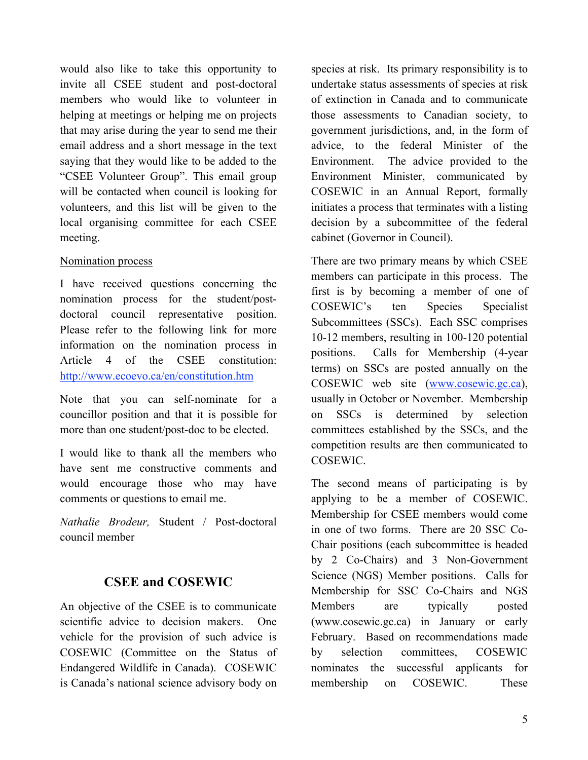would also like to take this opportunity to invite all CSEE student and post-doctoral members who would like to volunteer in helping at meetings or helping me on projects that may arise during the year to send me their email address and a short message in the text saying that they would like to be added to the "CSEE Volunteer Group". This email group will be contacted when council is looking for volunteers, and this list will be given to the local organising committee for each CSEE meeting.

### Nomination process

I have received questions concerning the nomination process for the student/postdoctoral council representative position. Please refer to the following link for more information on the nomination process in Article 4 of the CSEE constitution: http://www.ecoevo.ca/en/constitution.htm

Note that you can self-nominate for a councillor position and that it is possible for more than one student/post-doc to be elected.

I would like to thank all the members who have sent me constructive comments and would encourage those who may have comments or questions to email me.

*Nathalie Brodeur,* Student / Post-doctoral council member

## **CSEE and COSEWIC**

An objective of the CSEE is to communicate scientific advice to decision makers. One vehicle for the provision of such advice is COSEWIC (Committee on the Status of Endangered Wildlife in Canada). COSEWIC is Canada's national science advisory body on species at risk. Its primary responsibility is to undertake status assessments of species at risk of extinction in Canada and to communicate those assessments to Canadian society, to government jurisdictions, and, in the form of advice, to the federal Minister of the Environment. The advice provided to the Environment Minister, communicated by COSEWIC in an Annual Report, formally initiates a process that terminates with a listing decision by a subcommittee of the federal cabinet (Governor in Council).

There are two primary means by which CSEE members can participate in this process. The first is by becoming a member of one of COSEWIC's ten Species Specialist Subcommittees (SSCs). Each SSC comprises 10-12 members, resulting in 100-120 potential positions. Calls for Membership (4-year terms) on SSCs are posted annually on the COSEWIC web site (www.cosewic.gc.ca), usually in October or November. Membership on SSCs is determined by selection committees established by the SSCs, and the competition results are then communicated to COSEWIC.

The second means of participating is by applying to be a member of COSEWIC. Membership for CSEE members would come in one of two forms. There are 20 SSC Co-Chair positions (each subcommittee is headed by 2 Co-Chairs) and 3 Non-Government Science (NGS) Member positions. Calls for Membership for SSC Co-Chairs and NGS Members are typically posted (www.cosewic.gc.ca) in January or early February. Based on recommendations made by selection committees, COSEWIC nominates the successful applicants for membership on COSEWIC. These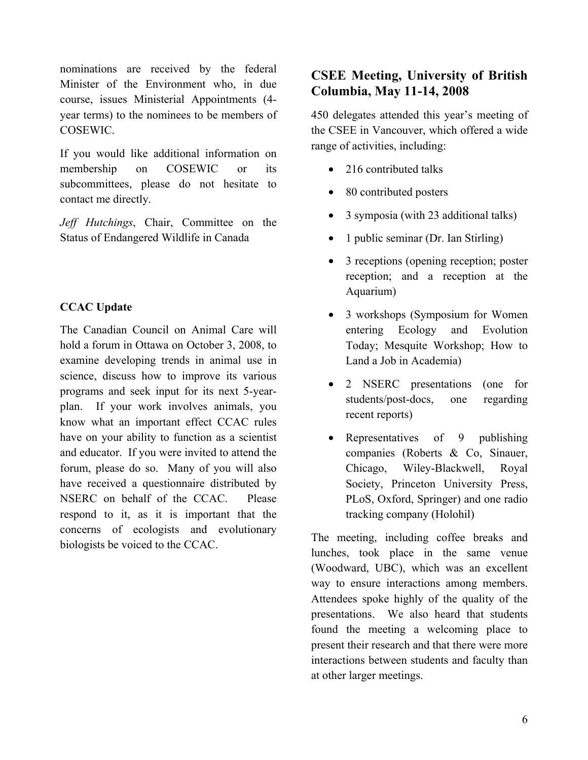nominations are received by the federal Minister of the Environment who, in due course, issues Ministerial Appointments (4 year terms) to the nominees to be members of COSEWIC.

If you would like additional information on membership on COSEWIC or its subcommittees, please do not hesitate to contact me directly.

*Jeff Hutchings*, Chair, Committee on the Status of Endangered Wildlife in Canada

## **CCAC Update**

The Canadian Council on Animal Care will hold a forum in Ottawa on October 3, 2008, to examine developing trends in animal use in science, discuss how to improve its various programs and seek input for its next 5-yearplan. If your work involves animals, you know what an important effect CCAC rules have on your ability to function as a scientist and educator. If you were invited to attend the forum, please do so. Many of you will also have received a questionnaire distributed by NSERC on behalf of the CCAC. Please respond to it, as it is important that the concerns of ecologists and evolutionary biologists be voiced to the CCAC.

# **CSEE Meeting, University of British Columbia, May 11-14, 2008**

450 delegates attended this year's meeting of the CSEE in Vancouver, which offered a wide range of activities, including:

- 216 contributed talks
- 80 contributed posters
- 3 symposia (with 23 additional talks)
- 1 public seminar (Dr. Ian Stirling)
- 3 receptions (opening reception; poster reception; and a reception at the Aquarium)
- 3 workshops (Symposium for Women entering Ecology and Evolution Today; Mesquite Workshop; How to Land a Job in Academia)
- 2 NSERC presentations (one for students/post-docs, one regarding recent reports)
- Representatives of 9 publishing companies (Roberts & Co, Sinauer, Chicago, Wiley-Blackwell, Royal Society, Princeton University Press, PLoS, Oxford, Springer) and one radio tracking company (Holohil)

The meeting, including coffee breaks and lunches, took place in the same venue (Woodward, UBC), which was an excellent way to ensure interactions among members. Attendees spoke highly of the quality of the presentations. We also heard that students found the meeting a welcoming place to present their research and that there were more interactions between students and faculty than at other larger meetings.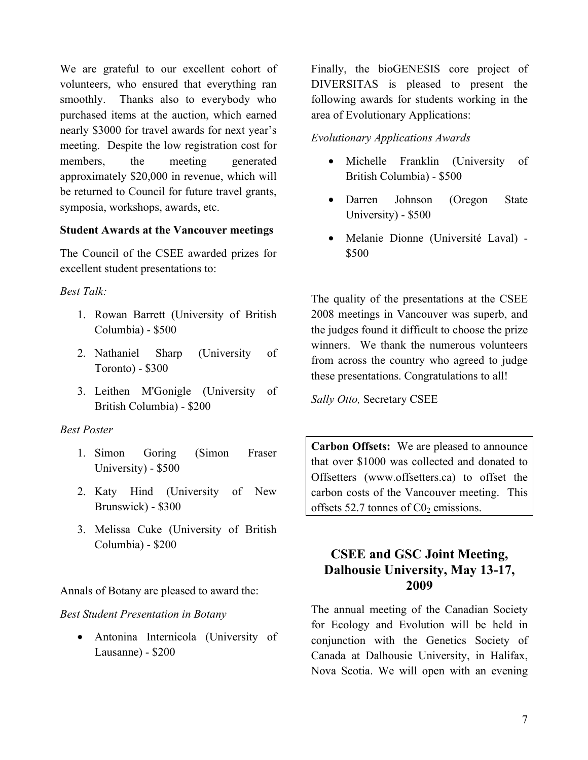We are grateful to our excellent cohort of volunteers, who ensured that everything ran smoothly. Thanks also to everybody who purchased items at the auction, which earned nearly \$3000 for travel awards for next year's meeting. Despite the low registration cost for members, the meeting generated approximately \$20,000 in revenue, which will be returned to Council for future travel grants, symposia, workshops, awards, etc.

### **Student Awards at the Vancouver meetings**

The Council of the CSEE awarded prizes for excellent student presentations to:

### *Best Talk:*

- 1. Rowan Barrett (University of British Columbia) - \$500
- 2. Nathaniel Sharp (University of Toronto) - \$300
- 3. Leithen M'Gonigle (University of British Columbia) - \$200

### *Best Poster*

- 1. Simon Goring (Simon Fraser University) - \$500
- 2. Katy Hind (University of New Brunswick) - \$300
- 3. Melissa Cuke (University of British Columbia) - \$200

Annals of Botany are pleased to award the:

### *Best Student Presentation in Botany*

• Antonina Internicola (University of Lausanne) - \$200

Finally, the bioGENESIS core project of DIVERSITAS is pleased to present the following awards for students working in the area of Evolutionary Applications:

### *Evolutionary Applications Awards*

- Michelle Franklin (University of British Columbia) - \$500
- Darren Johnson (Oregon State University) - \$500
- Melanie Dionne (Université Laval) \$500

The quality of the presentations at the CSEE 2008 meetings in Vancouver was superb, and the judges found it difficult to choose the prize winners. We thank the numerous volunteers from across the country who agreed to judge these presentations. Congratulations to all!

*Sally Otto,* Secretary CSEE

**Carbon Offsets:** We are pleased to announce that over \$1000 was collected and donated to Offsetters (www.offsetters.ca) to offset the carbon costs of the Vancouver meeting. This offsets 52.7 tonnes of  $C_0$  emissions.

## **CSEE and GSC Joint Meeting, Dalhousie University, May 13-17, 2009**

The annual meeting of the Canadian Society for Ecology and Evolution will be held in conjunction with the Genetics Society of Canada at Dalhousie University, in Halifax, Nova Scotia. We will open with an evening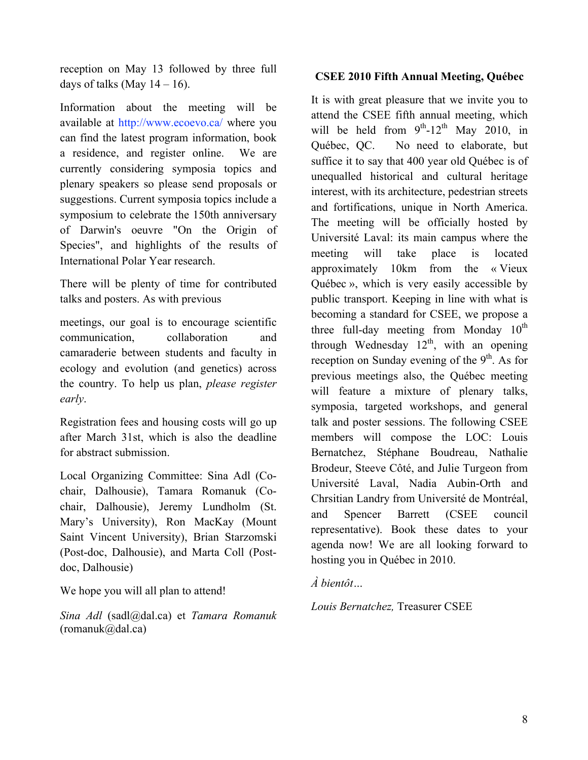reception on May 13 followed by three full days of talks (May  $14 - 16$ ).

Information about the meeting will be available at http://www.ecoevo.ca/ where you can find the latest program information, book a residence, and register online. We are currently considering symposia topics and plenary speakers so please send proposals or suggestions. Current symposia topics include a symposium to celebrate the 150th anniversary of Darwin's oeuvre "On the Origin of Species", and highlights of the results of International Polar Year research.

There will be plenty of time for contributed talks and posters. As with previous

meetings, our goal is to encourage scientific communication, collaboration and camaraderie between students and faculty in ecology and evolution (and genetics) across the country. To help us plan, *please register early*.

Registration fees and housing costs will go up after March 31st, which is also the deadline for abstract submission.

Local Organizing Committee: Sina Adl (Cochair, Dalhousie), Tamara Romanuk (Cochair, Dalhousie), Jeremy Lundholm (St. Mary's University), Ron MacKay (Mount Saint Vincent University), Brian Starzomski (Post-doc, Dalhousie), and Marta Coll (Postdoc, Dalhousie)

We hope you will all plan to attend!

*Sina Adl* (sadl@dal.ca) et *Tamara Romanuk*   $(romanuk@dala.ca)$ 

## **CSEE 2010 Fifth Annual Meeting, Québec**

It is with great pleasure that we invite you to attend the CSEE fifth annual meeting, which will be held from  $9<sup>th</sup>$ -12<sup>th</sup> May 2010, in Québec, QC. No need to elaborate, but suffice it to say that 400 year old Québec is of unequalled historical and cultural heritage interest, with its architecture, pedestrian streets and fortifications, unique in North America. The meeting will be officially hosted by Université Laval: its main campus where the meeting will take place is located approximately 10km from the « Vieux Québec », which is very easily accessible by public transport. Keeping in line with what is becoming a standard for CSEE, we propose a three full-day meeting from Monday  $10^{th}$ through Wednesday  $12<sup>th</sup>$ , with an opening reception on Sunday evening of the  $9<sup>th</sup>$ . As for previous meetings also, the Québec meeting will feature a mixture of plenary talks, symposia, targeted workshops, and general talk and poster sessions. The following CSEE members will compose the LOC: Louis Bernatchez, Stéphane Boudreau, Nathalie Brodeur, Steeve Côté, and Julie Turgeon from Université Laval, Nadia Aubin-Orth and Chrsitian Landry from Université de Montréal, and Spencer Barrett (CSEE council representative). Book these dates to your agenda now! We are all looking forward to hosting you in Québec in 2010.

*À bientôt…* 

*Louis Bernatchez,* Treasurer CSEE